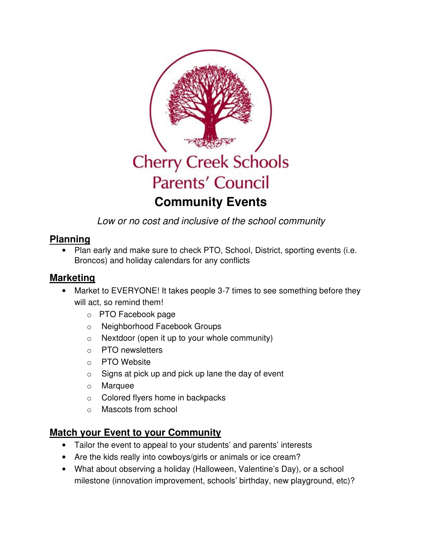

Low or no cost and inclusive of the school community

#### **Planning**

• Plan early and make sure to check PTO, School, District, sporting events (i.e. Broncos) and holiday calendars for any conflicts

### **Marketing**

- Market to EVERYONE! It takes people 3-7 times to see something before they will act, so remind them!
	- o PTO Facebook page
	- o Neighborhood Facebook Groups
	- $\circ$  Nextdoor (open it up to your whole community)
	- o PTO newsletters
	- o PTO Website
	- $\circ$  Signs at pick up and pick up lane the day of event
	- o Marquee
	- o Colored flyers home in backpacks
	- o Mascots from school

# **Match your Event to your Community**

- Tailor the event to appeal to your students' and parents' interests
- Are the kids really into cowboys/girls or animals or ice cream?
- What about observing a holiday (Halloween, Valentine's Day), or a school milestone (innovation improvement, schools' birthday, new playground, etc)?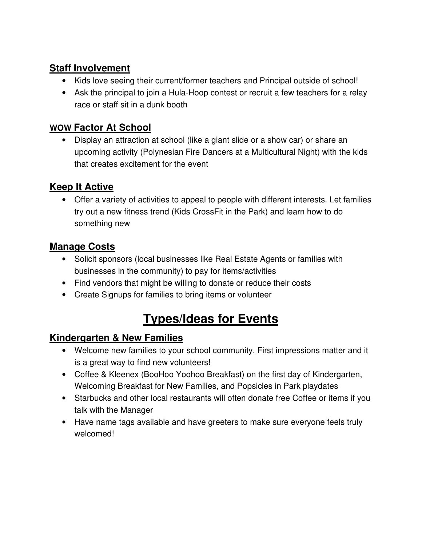### **Staff Involvement**

- Kids love seeing their current/former teachers and Principal outside of school!
- Ask the principal to join a Hula-Hoop contest or recruit a few teachers for a relay race or staff sit in a dunk booth

### **WOW Factor At School**

• Display an attraction at school (like a giant slide or a show car) or share an upcoming activity (Polynesian Fire Dancers at a Multicultural Night) with the kids that creates excitement for the event

# **Keep It Active**

• Offer a variety of activities to appeal to people with different interests. Let families try out a new fitness trend (Kids CrossFit in the Park) and learn how to do something new

### **Manage Costs**

- Solicit sponsors (local businesses like Real Estate Agents or families with businesses in the community) to pay for items/activities
- Find vendors that might be willing to donate or reduce their costs
- Create Signups for families to bring items or volunteer

# **Types/Ideas for Events**

### **Kindergarten & New Families**

- Welcome new families to your school community. First impressions matter and it is a great way to find new volunteers!
- Coffee & Kleenex (BooHoo Yoohoo Breakfast) on the first day of Kindergarten, Welcoming Breakfast for New Families, and Popsicles in Park playdates
- Starbucks and other local restaurants will often donate free Coffee or items if you talk with the Manager
- Have name tags available and have greeters to make sure everyone feels truly welcomed!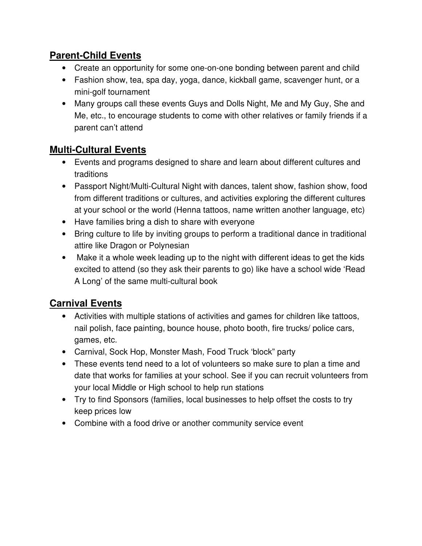### **Parent-Child Events**

- Create an opportunity for some one-on-one bonding between parent and child
- Fashion show, tea, spa day, yoga, dance, kickball game, scavenger hunt, or a mini-golf tournament
- Many groups call these events Guys and Dolls Night, Me and My Guy, She and Me, etc., to encourage students to come with other relatives or family friends if a parent can't attend

# **Multi-Cultural Events**

- Events and programs designed to share and learn about different cultures and traditions
- Passport Night/Multi-Cultural Night with dances, talent show, fashion show, food from different traditions or cultures, and activities exploring the different cultures at your school or the world (Henna tattoos, name written another language, etc)
- Have families bring a dish to share with everyone
- Bring culture to life by inviting groups to perform a traditional dance in traditional attire like Dragon or Polynesian
- Make it a whole week leading up to the night with different ideas to get the kids excited to attend (so they ask their parents to go) like have a school wide 'Read A Long' of the same multi-cultural book

# **Carnival Events**

- Activities with multiple stations of activities and games for children like tattoos, nail polish, face painting, bounce house, photo booth, fire trucks/ police cars, games, etc.
- Carnival, Sock Hop, Monster Mash, Food Truck 'block" party
- These events tend need to a lot of volunteers so make sure to plan a time and date that works for families at your school. See if you can recruit volunteers from your local Middle or High school to help run stations
- Try to find Sponsors (families, local businesses to help offset the costs to try keep prices low
- Combine with a food drive or another community service event